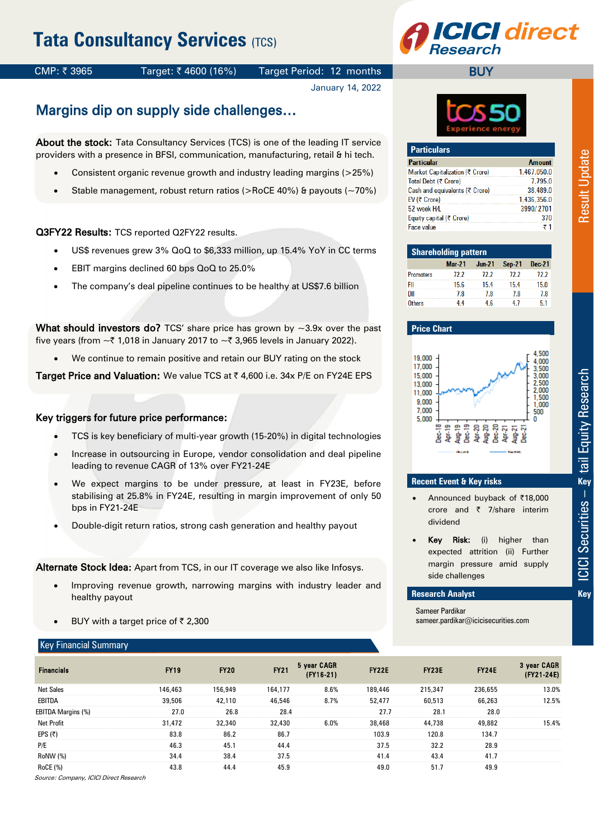# **Tata Consultancy Services (TCS)**



### CMP: ₹3965 Target: ₹4600 (16%) Target Period: 12 months

January 14, 2022

## Margins dip on supply side challenges…

About the stock: Tata Consultancy Services (TCS) is one of the leading IT service providers with a presence in BFSI, communication, manufacturing, retail & hi tech.

- Consistent organic revenue growth and industry leading margins (>25%)
- Stable management, robust return ratios (>RoCE 40%) & payouts (~70%)

Q3FY22 Results: TCS reported Q2FY22 results.

- US\$ revenues grew 3% QoQ to \$6,333 million, up 15.4% YoY in CC terms
- EBIT margins declined 60 bps QoQ to 25.0%
- The company's deal pipeline continues to be healthy at US\$7.6 billion

What should investors do? TCS' share price has grown by  $\sim$ 3.9x over the past five years (from  $\sim \xi$  1,018 in January 2017 to  $\sim \xi$  3,965 levels in January 2022).

We continue to remain positive and retain our BUY rating on the stock

Target Price and Valuation: We value TCS at ₹4,600 i.e. 34x P/E on FY24E EPS

#### Key triggers for future price performance:

- TCS is key beneficiary of multi-year growth (15-20%) in digital technologies
- Increase in outsourcing in Europe, vendor consolidation and deal pipeline leading to revenue CAGR of 13% over FY21-24E
- We expect margins to be under pressure, at least in FY23E, before stabilising at 25.8% in FY24E, resulting in margin improvement of only 50 bps in FY21-24E
- Double-digit return ratios, strong cash generation and healthy payout

Alternate Stock Idea: Apart from TCS, in our IT coverage we also like Infosys.

- Improving revenue growth, narrowing margins with industry leader and healthy payout
- BUY with a target price of  $\bar{\tau}$  2,300

#### Key Financial Summary

| 1esearen   |  |
|------------|--|
| <b>BUY</b> |  |
|            |  |
|            |  |



| <b>Particulars</b>              |               |
|---------------------------------|---------------|
| <b>Particular</b>               | <b>Amount</b> |
| Market Capitalization (₹ Crore) | 1,467,050.0   |
| Total Debt (₹ Crore)            | 7.795.0       |
| Cash and equivalents (₹ Crore)  | 38,489.0      |
| EV ( $\bar{\tau}$ Crore)        | 1,436,356.0   |
| 52 week H/L                     | 3990/2701     |
| Equity capital (₹ Crore)        | 370           |
| Face value                      | ₹1            |

| <b>Shareholding pattern</b> |               |          |               |        |  |  |  |  |
|-----------------------------|---------------|----------|---------------|--------|--|--|--|--|
|                             | <b>Mar-21</b> | $Jun-21$ | <b>Sep-21</b> | Dec-21 |  |  |  |  |
| <b>Promoters</b>            | 72.2          | 72.2     | 72.2          | 72.2   |  |  |  |  |
| FII                         | 15.6          | 15.4     | 15.4          | 15.0   |  |  |  |  |
| DII                         | 78            | 78       | 78            | 78     |  |  |  |  |
| <b>Others</b>               | 44            | 4.6      |               |        |  |  |  |  |





- Announced buyback of ₹18,000 crore and  $\bar{\tau}$  7/share interim dividend
- Key Risk: (i) higher than expected attrition (ii) Further margin pressure amid supply side challenges

#### **Research Analyst Key Financial & Valuation Summary Summary Summary Summary Summary Summary Summary Summary Summary Summary Summary Summary**  $\mathbf{K}$ **ey**

Sameer Pardikar sameer.pardikar@icicisecurities.com

| <b>Financials</b>  | <b>FY19</b> | <b>FY20</b> | <b>FY21</b> | 5 year CAGR<br>$(FY16-21)$ | <b>FY22E</b> | FY <sub>23</sub> E | <b>FY24E</b> | 3 year CAGR<br>(FY21-24E) |
|--------------------|-------------|-------------|-------------|----------------------------|--------------|--------------------|--------------|---------------------------|
| <b>Net Sales</b>   | 146.463     | 156.949     | 164.177     | 8.6%                       | 189,446      | 215.347            | 236.655      | 13.0%                     |
| EBITDA             | 39.506      | 42.110      | 46.546      | 8.7%                       | 52.477       | 60.513             | 66.263       | 12.5%                     |
| EBITDA Margins (%) | 27.0        | 26.8        | 28.4        |                            | 27.7         | 28.1               | 28.0         |                           |
| Net Profit         | 31.472      | 32.340      | 32.430      | 6.0%                       | 38.468       | 44.738             | 49.882       | 15.4%                     |
| EPS (₹)            | 83.8        | 86.2        | 86.7        |                            | 103.9        | 120.8              | 134.7        |                           |
| P/E                | 46.3        | 45.1        | 44.4        |                            | 37.5         | 32.2               | 28.9         |                           |
| RoNW (%)           | 34.4        | 38.4        | 37.5        |                            | 41.4         | 43.4               | 41.7         |                           |
| RoCE (%)           | 43.8        | 44.4        | 45.9        |                            | 49.0         | 51.7               | 49.9         |                           |

Source: Company, ICICI Direct Research

**Result Update**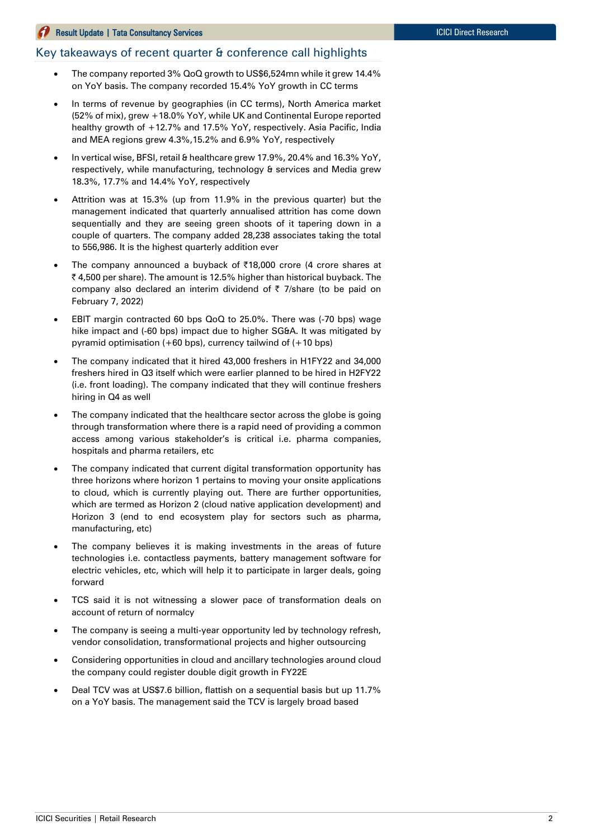#### **Result Update | Tata Consultancy Services ICICI Direct Research ICICI Direct Research**

### Key takeaways of recent quarter & conference call highlights

- The company reported 3% QoQ growth to US\$6,524mn while it grew 14.4% on YoY basis. The company recorded 15.4% YoY growth in CC terms
- In terms of revenue by geographies (in CC terms), North America market (52% of mix), grew +18.0% YoY, while UK and Continental Europe reported healthy growth of +12.7% and 17.5% YoY, respectively. Asia Pacific, India and MEA regions grew 4.3%,15.2% and 6.9% YoY, respectively
- In vertical wise, BFSI, retail & healthcare grew 17.9%, 20.4% and 16.3% YoY, respectively, while manufacturing, technology & services and Media grew 18.3%, 17.7% and 14.4% YoY, respectively
- Attrition was at 15.3% (up from 11.9% in the previous quarter) but the management indicated that quarterly annualised attrition has come down sequentially and they are seeing green shoots of it tapering down in a couple of quarters. The company added 28,238 associates taking the total to 556,986. It is the highest quarterly addition ever
- The company announced a buyback of  $\bar{\tau}$ 18,000 crore (4 crore shares at ₹4,500 per share). The amount is 12.5% higher than historical buyback. The company also declared an interim dividend of  $\bar{\tau}$  7/share (to be paid on February 7, 2022)
- EBIT margin contracted 60 bps QoQ to 25.0%. There was (-70 bps) wage hike impact and (-60 bps) impact due to higher SG&A. It was mitigated by pyramid optimisation (+60 bps), currency tailwind of (+10 bps)
- The company indicated that it hired 43,000 freshers in H1FY22 and 34,000 freshers hired in Q3 itself which were earlier planned to be hired in H2FY22 (i.e. front loading). The company indicated that they will continue freshers hiring in Q4 as well
- The company indicated that the healthcare sector across the globe is going through transformation where there is a rapid need of providing a common access among various stakeholder's is critical i.e. pharma companies, hospitals and pharma retailers, etc
- The company indicated that current digital transformation opportunity has three horizons where horizon 1 pertains to moving your onsite applications to cloud, which is currently playing out. There are further opportunities, which are termed as Horizon 2 (cloud native application development) and Horizon 3 (end to end ecosystem play for sectors such as pharma, manufacturing, etc)
- The company believes it is making investments in the areas of future technologies i.e. contactless payments, battery management software for electric vehicles, etc, which will help it to participate in larger deals, going forward
- TCS said it is not witnessing a slower pace of transformation deals on account of return of normalcy
- The company is seeing a multi-year opportunity led by technology refresh, vendor consolidation, transformational projects and higher outsourcing
- Considering opportunities in cloud and ancillary technologies around cloud the company could register double digit growth in FY22E
- Deal TCV was at US\$7.6 billion, flattish on a sequential basis but up 11.7% on a YoY basis. The management said the TCV is largely broad based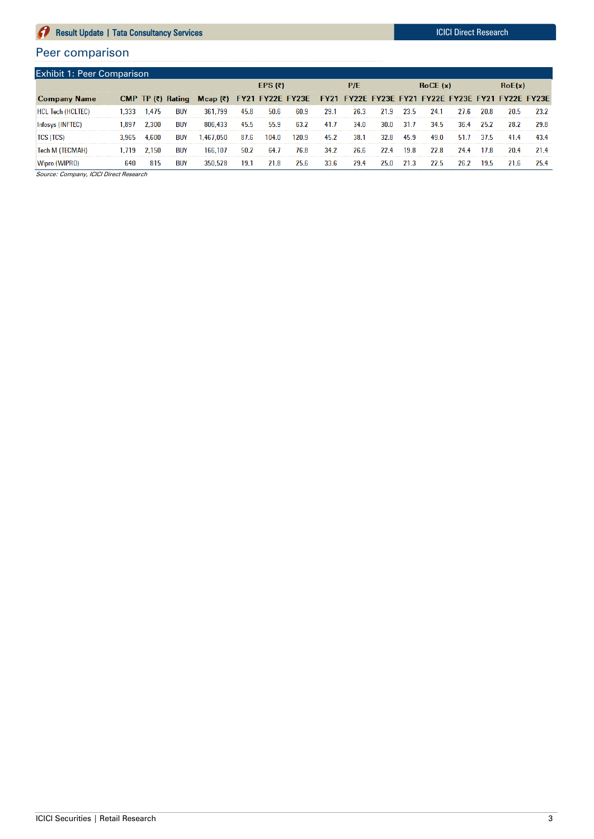#### **Result Update | Tata Consultancy Services ICICI Direct Research** ICICI Direct Research  $\boldsymbol{a}$

## Peer comparison

| <b>Exhibit 1: Peer Comparison</b> |      |       |            |                                                                                                |      |           |       |      |      |      |      |         |      |      |      |      |
|-----------------------------------|------|-------|------------|------------------------------------------------------------------------------------------------|------|-----------|-------|------|------|------|------|---------|------|------|------|------|
|                                   |      |       |            |                                                                                                |      | EPS $(7)$ |       |      | P/E  |      |      | RoCE(x) |      |      |      |      |
| <b>Company Name</b>               |      |       |            | CMP TP (₹) Rating Mcap (₹) FY21 FY22E FY23E FY21 FY22E FY23E FY21 FY22E FY23E FY21 FY22E FY23E |      |           |       |      |      |      |      |         |      |      |      |      |
| <b>HCL Tech (HCLTEC)</b>          | .333 | 1.475 | <b>BUY</b> | 361,799                                                                                        | 45.8 | 50.6      | 60.9  | 29.1 | 26.3 | 21.9 | 23.5 | 24.1    | 27.6 | 20.8 | 20.5 | 23.2 |
|                                   | .897 | 2.300 | <b>BUY</b> | 806 433                                                                                        | 45.5 | 55.9      | 63.2  | 41.7 | 34.0 | 30.0 | 31.7 | 34.5    | 36.4 | 25.2 | 28.2 | 29.8 |
| TCS (TCS)                         |      | 4.600 | <b>BUY</b> | .467.050                                                                                       | 87.6 | 104.0     | 120.9 | 45.2 | 38.1 | 32.8 | 45.9 | 49.0    | 51.7 | 37.5 | 41.4 | 43.4 |
| Tech M (TECMAH)                   |      | 2.150 | <b>BUY</b> | 166,107                                                                                        | 50.2 | 64.7      | 76.8  | 34.2 | 26.6 | 22.4 | 19.8 | 22.8    | 24.4 | 17.8 | 20.4 |      |
|                                   |      |       | BUN        |                                                                                                | 19.  |           | 25.1  |      | 29.4 |      |      |         |      |      |      |      |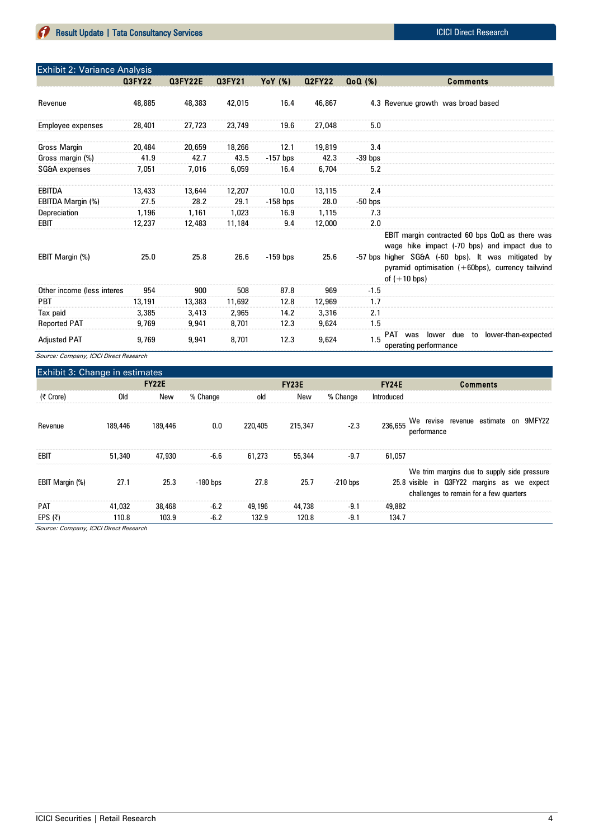| <b>Exhibit 2: Variance Analysis</b> |               |                |               |            |               |               |                                                                                                                                                                                                                                    |
|-------------------------------------|---------------|----------------|---------------|------------|---------------|---------------|------------------------------------------------------------------------------------------------------------------------------------------------------------------------------------------------------------------------------------|
|                                     | <b>Q3FY22</b> | <b>Q3FY22E</b> | <b>Q3FY21</b> | YoY (%)    | <b>Q2FY22</b> | $Q_0Q$ $(\%)$ | <b>Comments</b>                                                                                                                                                                                                                    |
| Revenue                             | 48,885        | 48,383         | 42,015        | 16.4       | 46,867        |               | 4.3 Revenue growth was broad based                                                                                                                                                                                                 |
| Employee expenses                   | 28,401        | 27,723         | 23,749        | 19.6       | 27,048        | 5.0           |                                                                                                                                                                                                                                    |
| <b>Gross Margin</b>                 | 20,484        | 20.659         | 18,266        | 12.1       | 19,819        | 3.4           |                                                                                                                                                                                                                                    |
| Gross margin (%)                    | 41.9          | 42.7           | 43.5          | $-157$ bps | 42.3          | $-39$ bps     |                                                                                                                                                                                                                                    |
| SG&A expenses                       | 7.051         | 7,016          | 6,059         | 16.4       | 6.704         | 5.2           |                                                                                                                                                                                                                                    |
| <b>EBITDA</b>                       | 13,433        | 13,644         | 12,207        | 10.0       | 13,115        | 2.4           |                                                                                                                                                                                                                                    |
| EBITDA Margin (%)                   | 27.5          | 28.2           | 29.1          | $-158$ bps | 28.0          | $-50$ bps     |                                                                                                                                                                                                                                    |
| Depreciation                        | 1,196         | 1,161          | 1,023         | 16.9       | 1,115         | 7.3           |                                                                                                                                                                                                                                    |
| EBIT                                | 12.237        | 12,483         | 11.184        | 9.4        | 12,000        | 2.0           |                                                                                                                                                                                                                                    |
| EBIT Margin (%)                     | 25.0          | 25.8           | 26.6          | $-159$ bps | 25.6          |               | EBIT margin contracted 60 bps QoQ as there was<br>wage hike impact (-70 bps) and impact due to<br>-57 bps higher SG&A (-60 bps). It was mitigated by<br>pyramid optimisation (+60bps), currency tailwind<br>of $(+10 \text{ bps})$ |
| Other income (less interes          | 954           | 900            | 508           | 87.8       | 969           | $-1.5$        |                                                                                                                                                                                                                                    |
| <b>PBT</b>                          | 13,191        | 13,383         | 11,692        | 12.8       | 12,969        | 1.7           |                                                                                                                                                                                                                                    |
| Tax paid                            | 3,385         | 3,413          | 2,965         | 14.2       | 3,316         | 2.1           |                                                                                                                                                                                                                                    |
| <b>Reported PAT</b>                 | 9,769         | 9,941          | 8,701         | 12.3       | 9,624         | 1.5           |                                                                                                                                                                                                                                    |
| <b>Adjusted PAT</b>                 | 9.769         | 9,941          | 8,701         | 12.3       | 9,624         | 15            | lower-than-expected<br>lower due<br>to<br>PAT was<br>operating performance                                                                                                                                                         |

Source: Company, ICICI Direct Research

| Exhibit 3: Change in estimates |         |              |            |         |              |            |            |                                                                                                                                       |
|--------------------------------|---------|--------------|------------|---------|--------------|------------|------------|---------------------------------------------------------------------------------------------------------------------------------------|
|                                |         | <b>FY22E</b> |            |         | <b>FY23E</b> |            |            | <b>Comments</b>                                                                                                                       |
| (そ Crore)                      | Old     | New          | % Change   | old     | New          | % Change   | Introduced |                                                                                                                                       |
| Revenue                        | 189,446 | 189,446      | 0.0        | 220,405 | 215,347      | $-2.3$     |            | 236,655 We revise revenue estimate on 9MFY22<br>performance                                                                           |
| EBIT                           | 51,340  | 47,930       | $-6.6$     | 61,273  | 55,344       | $-9.7$     | 61.057     |                                                                                                                                       |
| EBIT Margin (%)                | 27.1    | 25.3         | $-180$ bps | 27.8    | 25.7         | $-210$ bps |            | We trim margins due to supply side pressure<br>25.8 visible in Q3FY22 margins as we expect<br>challenges to remain for a few quarters |
| <b>PAT</b>                     | 41,032  | 38,468       | $-6.2$     | 49,196  | 44,738       | $-9.1$     | 49,882     |                                                                                                                                       |
| EPS $(5)$                      | 110.8   | 103.9        | $-6.2$     | 132.9   | 120.8        | $-9.1$     | 134.7      |                                                                                                                                       |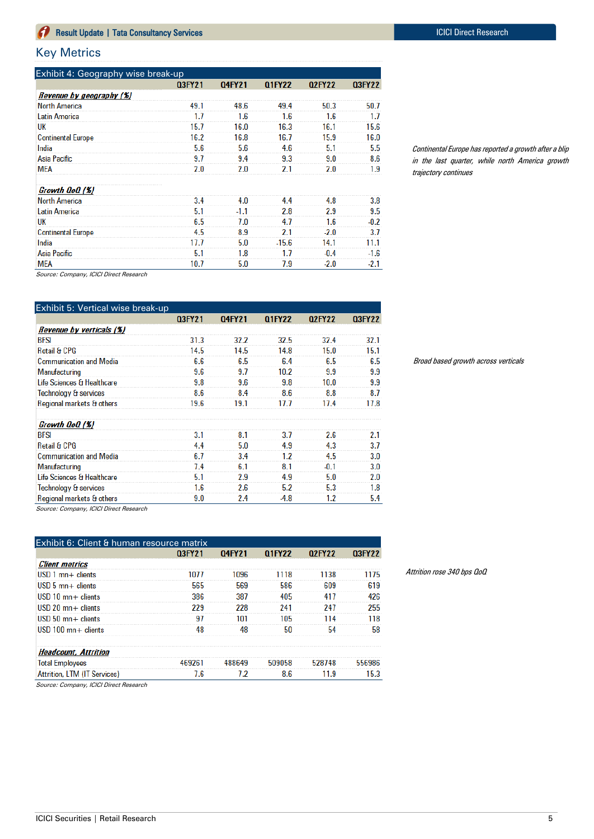## Key Metrics

| Exhibit 4: Geography wise break-up |        |        |               |               |               |  |  |  |
|------------------------------------|--------|--------|---------------|---------------|---------------|--|--|--|
|                                    | 03FY21 | 04FY21 | <b>Q1FY22</b> | <b>Q2FY22</b> | <b>Q3FY22</b> |  |  |  |
| Revenue by geography (%)           |        |        |               |               |               |  |  |  |
| <b>North America</b>               | 49.1   | 48.6   | 49.4          | 50.3          | 50.7          |  |  |  |
| <b>Latin America</b>               | 1.7    | 1.6    | 1.6           | 1.6           | 1.7           |  |  |  |
| UK                                 | 15.7   | 16.0   | 16.3          | 16.1          | 15.6          |  |  |  |
| <b>Continental Europe</b>          | 16.2   | 16.8   | 16.7          | 15.9          | 16.0          |  |  |  |
| India                              | 5.6    | 5.6    | 4.6           | 5.1           | 5.5           |  |  |  |
| Asia Pacific                       | 9.7    | 9.4    | 9.3           | 9.0           | 8.6           |  |  |  |
| MEA                                | 2.0    | 2.0    | 2.1           | 2.0           | 1.9           |  |  |  |
| Growth QoQ (%)                     |        |        |               |               |               |  |  |  |
| <b>North America</b>               | 3.4    | 4.0    | 4.4           | 4.8           | 3.8           |  |  |  |
| Latin America                      | 5.1    | $-1.1$ | 2.8           | 2.9           | 9.5           |  |  |  |
| UK                                 | 6.5    | 7.0    | 4.7           | 1.6           | $-0.2$        |  |  |  |
| <b>Continental Europe</b>          | 4.5    | 8.9    | 2.1           | $-2.0$        | 3.7           |  |  |  |
| India                              | 17.7   | 5.0    | $-15.6$       | 14.1          | 11.1          |  |  |  |
| Asia Pacific                       | 5.1    | 1.8    | 1.7           | $-0.4$        | $-1.6$        |  |  |  |
| <b>MEA</b>                         | 10.7   | 5.0    | 7.9           | $-2.0$        | $-2.1$        |  |  |  |

Continental Europe has reported a growth after a blip in the last quarter, while north America growth trajectory continues

Source: Company, ICICI Direct Research

| Exhibit 5: Vertical wise break-up |        |        |               |         |        |
|-----------------------------------|--------|--------|---------------|---------|--------|
|                                   | 03FY21 | 04FY21 | <b>Q1FY22</b> | 02FY22  | 03FY22 |
| Revenue by verticals (%)          |        |        |               |         |        |
| BFSI                              | 31.3   | 32.2   | 32.5          | 32.4    | 32.1   |
| <b>Retail &amp; CPG</b>           | 14.5   | 14.5   | 14.8          | 15.0    | 15.1   |
| <b>Communication and Media</b>    | 6.6    | 6.5    | 6.4           | 6.5     | 6.5    |
| Manufacturing                     | 9.6    | 9.7    | 10.2          | 9.9     | 9.9    |
| Life Sciences & Healthcare        | 9.8    | 9.6    | 9.8           | 10.0    | 9.9    |
| Technology & services             | 8.6    | 8.4    | 8.6           | 8.8     | 8.7    |
| Regional markets & others         | 19.6   | 19.1   | 17.7          | 17.4    | 17.8   |
| Growth QoQ (%)                    |        |        |               |         |        |
| <b>BFSI</b>                       | 3.1    | 8.1    | 3.7           | 2.6     | 2.1    |
| <b>Retail &amp; CPG</b>           | 4.4    | 5.0    | 4.9           | 4.3     | 3.7    |
| <b>Communication and Media</b>    | 6.7    | 3.4    | 1.2           | 4.5     | 3.0    |
| Manufacturing                     | 7.4    | 6.1    | 8.1           | $-0.1$  | 3.0    |
| Life Sciences & Healthcare        | 5.1    | 2.9    | 4.9           | 5.0     | 2.0    |
| Technology & services             | 1.6    | 2.6    | 5.2           | 5.3     | 1.8    |
| Regional markets & others         | 9.0    | 2.4    | $-4.8$        | $1.2\,$ | 5.4    |

Broad based growth across verticals

Source: Company, ICICI Direct Research

| Exhibit 6: Client & human resource matrix |        |        |        |        |        |
|-------------------------------------------|--------|--------|--------|--------|--------|
|                                           | 03FY21 | 04FY21 | 01FY22 | 02FY22 | 03FY22 |
| <b>Client metrics</b>                     |        |        |        |        |        |
| $USD_1$ mn $+$ clients                    | 1077   | 1096   | 1118   | 1138   | 1175   |
| $USD_5$ mn $+$ clients                    | 565    | 569    | 586    | 609    | 619    |
| $USD$ 10 mn $+$ clients                   | 386    | 387    | 405    | 417    | 426    |
| $USD 20$ mn + clients                     | 229    | 228    | 241    | 247    | 255    |
| $USD$ 50 mn + clients                     | 97     | 101    | 105    | 114    | 118    |
| $USD$ 100 mn + clients                    | 48     | 48     | 50     | 54     | 58     |
| <b>Headcount, Attrition</b>               |        |        |        |        |        |
| <b>Total Employees</b>                    | 469261 | 488649 | 509058 | 528748 | 556986 |
| Attrition, LTM (IT Services)              | 7.6    | 7.2    | 8.6    | 11.9   | 15.3   |

Attrition rose 340 bps QoQ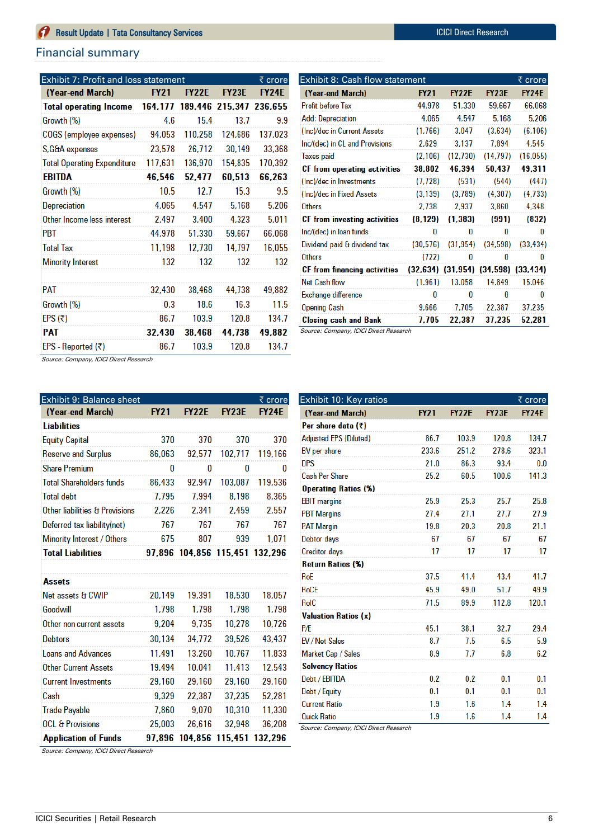## Financial summary

| Exhibit 7: Profit and loss statement   |             |              |                 | $\overline{\xi}$ crore |
|----------------------------------------|-------------|--------------|-----------------|------------------------|
| (Year-end March)                       | <b>FY21</b> | <b>FY22E</b> | <b>FY23E</b>    | <b>FY24E</b>           |
| <b>Total operating Income</b>          | 164,177     | 189,446      | 215,347 236,655 |                        |
| Growth (%)                             | 4.6         | 15.4         | 13.7            | 9.9                    |
| COGS (employee expenses)               | 94,053      | 110,258      | 124,686         | 137,023                |
| S, G&A expenses                        | 23,578      | 26,712       | 30,149          | 33,368                 |
| <b>Total Operating Expenditure</b>     | 117,631     | 136,970      | 154,835         | 170,392                |
| EBITDA                                 | 46,546      | 52,477       | 60,513          | 66,263                 |
| Growth (%)                             | 10.5        | 12.7         | 15.3            | 9.5                    |
| Depreciation                           | 4,065       | 4,547        | 5,168           | 5,206                  |
| Other Income less interest             | 2,497       | 3,400        | 4,323           | 5,011                  |
| PBT                                    | 44,978      | 51,330       | 59,667          | 66,068                 |
| <b>Total Tax</b>                       | 11,198      | 12,730       | 14,797          | 16,055                 |
| <b>Minority Interest</b>               | 132         | 132          | 132             | 132                    |
| <b>PAT</b>                             | 32,430      | 38,468       | 44,738          | 49,882                 |
| Growth (%)                             | 0.3         | 18.6         | 16.3            | 11.5                   |
| EPS (₹)                                | 86.7        | 103.9        | 120.8           | 134.7                  |
| PAT                                    | 32,430      | 38,468       | 44,738          | 49,882                 |
|                                        |             |              |                 |                        |
| EPS - Reported (₹)<br>$\sim$<br>10101B | 86.7        | 103.9        | 120.8           | 134.7                  |

| Exhibit 8: Cash flow statement |           |              |                                             | ₹ crore      |
|--------------------------------|-----------|--------------|---------------------------------------------|--------------|
| (Year-end March)               | FY21      | <b>FY22E</b> | <b>FY23E</b>                                | <b>FY24E</b> |
| <b>Profit before Tax</b>       | 44,978    | 51.330       | 59.667                                      | 66,068       |
| <b>Add: Depreciation</b>       | 4.065     | 4.547        | 5,168                                       | 5,206        |
| (Inc)/dec in Current Assets    | (1,766)   | 3,047        | (3,634)                                     | (6, 106)     |
| Inc/(dec) in CL and Provisions | 2,629     | 3,137        | 7,894                                       | 4,545        |
| Taxes paid                     | (2, 106)  | (12, 730)    | (14, 797)                                   | (16, 055)    |
| CF from operating activities   | 38,802    | 46,394       | 50,437                                      | 49,311       |
| (Inc)/dec in Investments       | (7, 728)  | (531)        | (544)                                       | (447)        |
| (Inc)/dec in Fixed Assets      | (3, 139)  | (3,789)      | (4, 307)                                    | (4, 733)     |
| Others                         | 2,738     | 2,937        | 3,860                                       | 4,348        |
| CF from investing activities   | (8, 129)  | (1, 383)     | (991)                                       | (832)        |
| Inc/(dec) in loan funds        | 0         | 0            | 0                                           | 0            |
| Dividend paid & dividend tax   | (30, 576) | (31, 954)    | (34,598)                                    | (33, 434)    |
| Others                         | (722)     | 0            | 0                                           | 0            |
| CF from financing activities   |           |              | $(32,634)$ $(31,954)$ $(34,598)$ $(33,434)$ |              |
| <b>Net Cash flow</b>           | (1.961)   | 13,058       | 14,849                                      | 15,046       |
| Exchange difference            | 0         | 0            | 0                                           | 0            |
| <b>Opening Cash</b>            | 9,666     | 7,705        | 22,387                                      | 37,235       |
| <b>Closing cash and Bank</b>   | 7.705     | 22,387       | 37,235                                      | 52,281       |

Source: Company, ICICI Direct Research

| <b>Exhibit 9: Balance sheet</b> |             |              |                 | ₹ crore      |  |  |
|---------------------------------|-------------|--------------|-----------------|--------------|--|--|
| (Year-end March)                | <b>FY21</b> | <b>FY22E</b> | <b>FY23E</b>    | <b>FY24E</b> |  |  |
| <b>Liabilities</b>              |             |              |                 |              |  |  |
| <b>Equity Capital</b>           | 370         | 370          | 370             | 370          |  |  |
| <b>Reserve and Surplus</b>      | 86,063      | 92,577       | 102,717         | 119,166      |  |  |
| <b>Share Premium</b>            | 0           | 0            | 0               | 0            |  |  |
| <b>Total Shareholders funds</b> | 86.433      | 92.947       | 103.087         | 119.536      |  |  |
| <b>Total debt</b>               | 7,795       | 7,994        | 8,198           | 8,365        |  |  |
| Other liabilities & Provisions  | 2,226       | 2,341        | 2,459           | 2,557        |  |  |
| Deferred tax liability(net)     | 767         | 767          | 767             | 767          |  |  |
| Minority Interest / Others      | 675         | 807          | 939             | 1,071        |  |  |
| <b>Total Liabilities</b>        | 97.896      |              | 104,856 115,451 | 132,296      |  |  |
|                                 |             |              |                 |              |  |  |
| Assets                          |             |              |                 |              |  |  |
| Net assets & CWIP               | 20,149      | 19,391       | 18,530          | 18,057       |  |  |
| Goodwill                        | 1,798       | 1,798        | 1,798           | 1,798        |  |  |
| Other non current assets        | 9,204       | 9,735        | 10,278          | 10,726       |  |  |
| <b>Debtors</b>                  | 30,134      | 34,772       | 39,526          | 43,437       |  |  |
| <b>Loans and Advances</b>       | 11,491      | 13,260       | 10,767          | 11,833       |  |  |
| <b>Other Current Assets</b>     | 19,494      | 10,041       | 11,413          | 12,543       |  |  |
| <b>Current Investments</b>      | 29,160      | 29,160       | 29,160          | 29,160       |  |  |
| Cash                            | 9.329       | 22,387       | 37,235          | 52.281       |  |  |

7,860

25,003

9,070

26,616

97,896 104,856 115,451 132,296

10,310

32,948

11,330

36,208

| Exhibit 10: Key ratios        |             |              |              | ₹ crore      |
|-------------------------------|-------------|--------------|--------------|--------------|
| (Year-end March)              | <b>FY21</b> | <b>FY22E</b> | <b>FY23E</b> | <b>FY24E</b> |
| Per share data (₹)            |             |              |              |              |
| <b>Adjusted EPS (Diluted)</b> | 86.7        | 103.9        | 120.8        | 134.7        |
| BV per share                  | 233.6       | 251.2        | 278.6        | 323.1        |
| <b>DPS</b>                    | 21.0        | 86.3         | 93.4         | 0.0          |
| <b>Cash Per Share</b>         | 25.2        | 60.5         | 100.6        | 141.3        |
| <b>Operating Ratios (%)</b>   |             |              |              |              |
| <b>EBIT</b> margins           | 25.9        | 25.3         | 25.7         | 25.8         |
| <b>PBT Margins</b>            | 27.4        | 27.1         | 27.7         | 27.9         |
| <b>PAT Margin</b>             | 19.8        | 20.3         | 20.8         | 21.1         |
| Debtor days                   | 67          | 67           | 67           | 67           |
| <b>Creditor days</b>          | 17          | 17           | 17           | 17           |
| <b>Return Ratios (%)</b>      |             |              |              |              |
| RoE                           | 37.5        | 41.4         | 43.4         | 41.7         |
| <b>RoCE</b>                   | 45.9        | 49.0         | 51.7         | 49.9         |
| <b>RoIC</b>                   | 71.5        | 89.9         | 112.8        | 120.1        |
| <b>Valuation Ratios (x)</b>   |             |              |              |              |
| P/E                           | 45.1        | 38.1         | 32.7         | 29.4         |
| EV / Net Sales                | 8.7         | 7.5          | 6.5          | 5.9          |
| Market Cap / Sales            | 8.9         | 7.7          | 6.8          | 6.2          |
| <b>Solvency Ratios</b>        |             |              |              |              |
| Debt / EBITDA                 | 0.2         | 0.2          | 0.1          | 0.1          |
| Debt / Equity                 | 0.1         | 0.1          | 0.1          | 0.1          |
| <b>Current Ratio</b>          | 1.9         | 1.6          | 1.4          | 1.4          |
| <b>Quick Ratio</b>            | 1.9         | 1.6          | 1.4          | 1.4          |

Source: Company, ICICI Direct Research

Source: Company, ICICI Direct Research

**Trade Payable** 

**OCL & Provisions** 

**Application of Funds**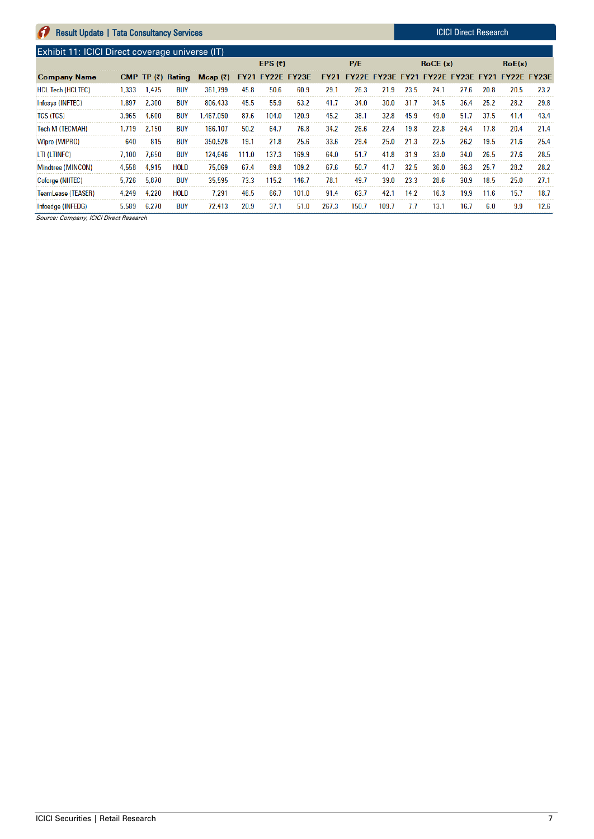| <b>Exhibit 11: ICICI Direct coverage universe (IT)</b> |       |       |             |                                                                                                |       |           |       |       |       |       |      |         |      |      |        |      |
|--------------------------------------------------------|-------|-------|-------------|------------------------------------------------------------------------------------------------|-------|-----------|-------|-------|-------|-------|------|---------|------|------|--------|------|
|                                                        |       |       |             |                                                                                                |       | EPS $(7)$ |       |       | P/E   |       |      | RoCE(x) |      |      | RoE(x) |      |
| <b>Company Name</b>                                    |       |       |             | CMP TP (₹) Rating Mcap (₹) FY21 FY22E FY23E FY21 FY22E FY23E FY21 FY22E FY23E FY21 FY22E FY23E |       |           |       |       |       |       |      |         |      |      |        |      |
| <b>HCL Tech (HCLTEC)</b>                               | 1.333 | 1.475 | <b>BUY</b>  | 361.799                                                                                        | 45.8  | 50.6      | 60.9  | 29.1  | 26.3  | 21.9  | 23.5 | 24.1    | 27.6 | 20.8 | 20.5   | 23.2 |
| Infosys (INFTEC)                                       | .897  | 2.300 | <b>BUY</b>  | 806.433                                                                                        | 45.5  | 55.9      | 63.2  | 41.7  | 34.0  | 30.0  | 31.7 | 34.5    | 36.4 | 25.2 | 28.2   | 29.8 |
| <b>TCS (TCS)</b>                                       | 3.965 | 4.600 | <b>BUY</b>  | .467.050                                                                                       | 87.6  | 104.0     | 120.9 | 45.2  | 38.1  | 32.8  | 45.9 | 49.0    | 51.7 | 37.5 | 41.4   | 43.4 |
| Tech M (TECMAH)                                        | .719  | 2.150 | <b>BUY</b>  | 166,107                                                                                        | 50.2  | 64.7      | 76.8  | 34.2  | 26.6  | 22.4  | 19.8 | 22.8    | 24.4 | 17.8 | 20.4   | 21.4 |
| Wipro (WIPRO)                                          | 640   | 815   | <b>BUY</b>  | 350.528                                                                                        | 19.1  | 21.8      | 25.6  | 33.6  | 29.4  | 25.0  | 21.3 | 22.5    | 26.2 | 19.5 | 21.6   | 25.4 |
| LTI (LTINFC)                                           | 7.100 | 7.650 | <b>BUY</b>  | 124.646                                                                                        | 111.0 | 137.3     | 169.9 | 64.0  | 51.7  | 41.8  | 31.9 | 33.0    | 34.0 | 26.5 | 27.6   | 28.5 |
| Mindtree (MINCON)                                      | 4.558 | 4.915 | <b>HOLD</b> | 75.069                                                                                         | 67.4  | 89.8      | 109.2 | 67.6  | 50.7  | 41.7  | 32.5 | 36.0    | 36.3 | 25.7 | 28.2   | 28.2 |
| Coforge (NIITEC)                                       | 5.726 | 5.870 | <b>BUY</b>  | 35,595                                                                                         | 73.3  | 115.2     | 146.7 | 78.1  | 49.7  | 39.0  | 23.3 | 28.6    | 30.9 | 18.5 | 25.0   | 27.1 |
| TeamLease (TEASER)                                     | 4.249 | 4.220 | <b>HOLD</b> | 7.291                                                                                          | 46.5  | 66.7      | 101.0 | 91.4  | 63.7  | 42.1  | 14.2 | 16.3    | 19.9 | 11.6 | 15.7   | 18.7 |
| Infoedge (INFEDG)                                      | 5.589 | 6.270 | <b>BUY</b>  | 72.413                                                                                         | 20.9  | 37.1      | 51.0  | 267.3 | 150.7 | 109.7 | 7.7  | 13.1    | 16.7 | 6.0  | 9.9    | 12.6 |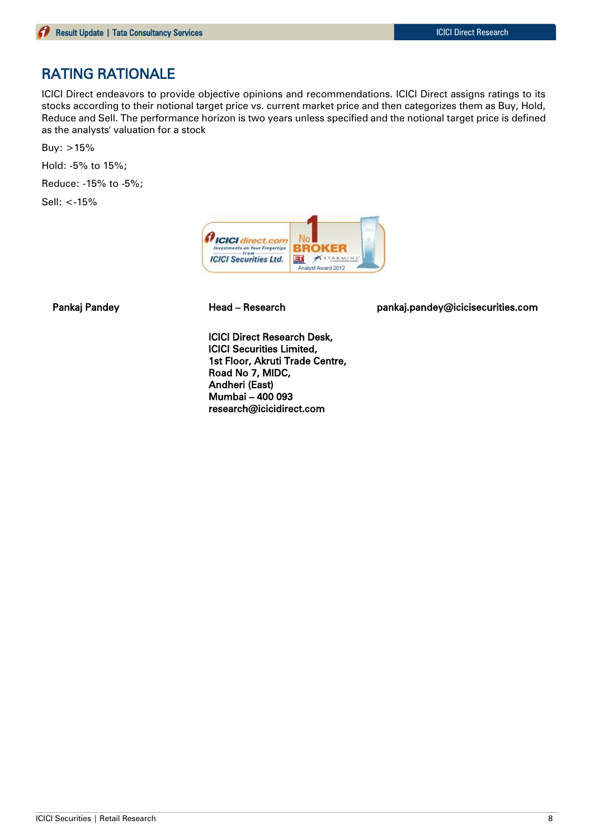## RATING RATIONALE

ICICI Direct endeavors to provide objective opinions and recommendations. ICICI Direct assigns ratings to its stocks according to their notional target price vs. current market price and then categorizes them as Buy, Hold, Reduce and Sell. The performance horizon is two years unless specified and the notional target price is defined as the analysts' valuation for a stock

Buy:  $>15%$ 

Hold: -5% to 15%;

Reduce: -15% to -5%;

Sell: <-15%



Pankaj Pandey Head – Research pankaj.pandey@icicisecurities.com

ICICI Direct Research Desk, ICICI Securities Limited, 1st Floor, Akruti Trade Centre, Road No 7, MIDC, Andheri (East) Mumbai – 400 093 research@icicidirect.com